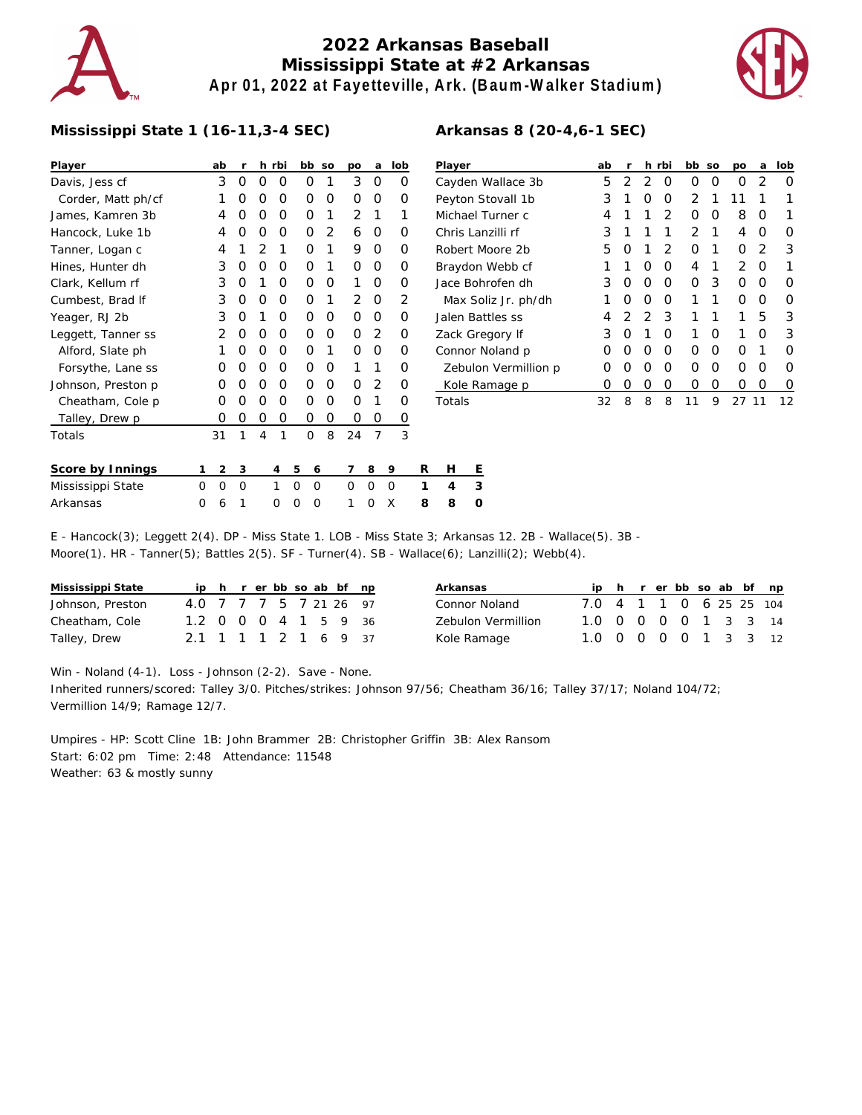

## **2022 Arkansas Baseball Mississippi State at #2 Arkansas Apr 01, 2022 at Fayetteville, Ark. (Baum-Walker Stadium)**



## **Mississippi State 1 (16-11,3-4 SEC)**

| Player             |   | ab | r        |   | h rbi |          | bb so    |   | po       | а        | lob      |   | Player               |   |  |
|--------------------|---|----|----------|---|-------|----------|----------|---|----------|----------|----------|---|----------------------|---|--|
| Davis, Jess cf     |   | 3  | O        | O | 0     |          | O        | 1 | 3        | O        | O        |   | Cayden <sup>'</sup>  |   |  |
| Corder, Matt ph/cf |   | 1  | O        | O | Ο     |          | O        | O | O        | O        | O        |   | Peyton S             |   |  |
| James, Kamren 3b   |   | 4  | O        | O | 0     |          | O        | 1 | 2        | 1        | 1        |   | Michael <sup>®</sup> |   |  |
| Hancock, Luke 1b   |   | 4  | O        | O | 0     |          | O        | 2 | 6        | O        | O        |   | Chris La             |   |  |
| Tanner, Logan c    |   | 4  | 1        | 2 | 1     |          | O        | 1 | 9        | O        | Ο        |   | Robert N             |   |  |
| Hines, Hunter dh   |   | 3  | O        | O | Ο     |          | O        | 1 | O        | O        | O        |   | Braydon              |   |  |
| Clark, Kellum rf   |   | 3  | O        | 1 | O     |          | O        | O | 1        | O        | O        |   | Jace Bor             |   |  |
| Cumbest, Brad If   |   | 3  | O        | O | O     |          | O        | 1 | 2        | O        | 2        |   | Max Sc               |   |  |
| Yeager, RJ 2b      |   | 3  | O        | 1 | O     |          | O        | O | O        | O        | O        |   | Jalen Ba             |   |  |
| Leggett, Tanner ss |   | 2  | O        | O | O     |          | O        | O | O        | 2        | O        |   | Zack Gre             |   |  |
| Alford, Slate ph   |   | 1  | O        | O | O     |          | O        | 1 | O        | O        | O        |   | Connor I             |   |  |
| Forsythe, Lane ss  |   | O  | O        | 0 | O     |          | O        | O | 1        | 1        | Ω        |   | Zebulo               |   |  |
| Johnson, Preston p |   | O  | O        | O | Ο     |          | O        | O | O        | 2        | O        |   | Kole Ra              |   |  |
| Cheatham, Cole p   |   | O  | O        | O | O     |          | O        | O | O        | 1        | Ο        |   | Totals               |   |  |
| Talley, Drew p     |   | O  | O        | O | 0     |          | Ο        | 0 | O        | Ο        | 0        |   |                      |   |  |
| Totals             |   | 31 | 1        | 4 | 1     |          | $\Omega$ | 8 | 24       | 7        | 3        |   |                      |   |  |
| Score by Innings   | 1 | 2  | 3        |   | 4     | 5        | 6        |   | 7        | 8        | 9        | R | н                    | Ε |  |
| Mississippi State  | 0 | 0  | $\Omega$ |   | 1     | $\Omega$ | $\Omega$ |   | $\Omega$ | O        | $\Omega$ | 1 | 4                    | 3 |  |
| Arkansas           | 0 | 6  | 1        |   | 0     | O        | 0        |   | 1        | $\Omega$ | X        | 8 | 8                    | 0 |  |

| Player               | ab               | r             |               | h rbi         | bb so |   | po            | a             | lob              |
|----------------------|------------------|---------------|---------------|---------------|-------|---|---------------|---------------|------------------|
| Cayden Wallace 3b    | 5                | 2             | $\mathcal{D}$ | O             | Ω     | O | Ω             | 2             | Ω                |
| Peyton Stovall 1b    | 3                | 1             | O             | Ω             | 2     | 1 | 11            | 1             |                  |
| Michael Turner c     | 4                | 1             | 1             | $\mathcal{P}$ | Ω     | ∩ | 8             | O             |                  |
| Chris Lanzilli rf    | 3                | 1             | 1             | 1             | 2     | 1 | 4             | O             | Ω                |
| Robert Moore 2b      | 5                | O             | 1             | $\mathcal{P}$ | Ω     | 1 | Ω             | $\mathcal{P}$ | 3                |
| Braydon Webb cf      | 1                | 1             | O             | O             | 4     | 1 | $\mathcal{P}$ | O             |                  |
| Jace Bohrofen dh     | 3                | O             | O             | O             | Ω     | 3 | Ω             | O             | Ω                |
| Max Soliz Jr. ph/dh  | 1                | Ο             | O             | O             | 1     | 1 | Ω             | O             | Ω                |
| Jalen Battles ss     | 4                | $\mathcal{D}$ | $\mathcal{D}$ | 3             | 1     | 1 | 1             | 5             | 3                |
| Zack Gregory If      | 3                | O             | 1             | O             | 1     | O | 1             | O             | 3                |
| Connor Noland p      | Ω                | O             | O             | O             | Ω     | ∩ | Ω             | 1             | Ω                |
| Zebulon Vermillion p | 0                | O             | O             | O             | Ω     | O | Ω             | O             | Ω                |
| Kole Ramage p        | $\left( \right)$ | Ο             | Ο             | Ω             | ∩     | Ω | Ω             | Ω             | $\left( \right)$ |
| Totals               | 32               | 8             | 8             | 8             | 11    | 9 | 27            |               | 12               |

**Arkansas 8 (20-4,6-1 SEC)**

## E - Hancock(3); Leggett 2(4). DP - Miss State 1. LOB - Miss State 3; Arkansas 12. 2B - Wallace(5). 3B - Moore(1). HR - Tanner(5); Battles 2(5). SF - Turner(4). SB - Wallace(6); Lanzilli(2); Webb(4).

| Mississippi State |                        |  |  |  | ip h r er bb so ab bf np |  |
|-------------------|------------------------|--|--|--|--------------------------|--|
| Johnson, Preston  | 4.0 7 7 7 5 7 21 26 97 |  |  |  |                          |  |
| Cheatham, Cole    | 1.2 0 0 0 4 1 5 9 36   |  |  |  |                          |  |
| Talley, Drew      | 2.1 1 1 1 2 1 6 9 37   |  |  |  |                          |  |

| Arkansas           |                         |  |  |  | ip h r er bb so ab bf np |
|--------------------|-------------------------|--|--|--|--------------------------|
| Connor Noland      | 7.0 4 1 1 0 6 25 25 104 |  |  |  |                          |
| Zebulon Vermillion | 1.0 0 0 0 0 1 3 3 14    |  |  |  |                          |
| Kole Ramaqe        | 1.0 0 0 0 0 1 3 3 12    |  |  |  |                          |

Win - Noland (4-1). Loss - Johnson (2-2). Save - None.

Inherited runners/scored: Talley 3/0. Pitches/strikes: Johnson 97/56; Cheatham 36/16; Talley 37/17; Noland 104/72; Vermillion 14/9; Ramage 12/7.

Umpires - HP: Scott Cline 1B: John Brammer 2B: Christopher Griffin 3B: Alex Ransom Start: 6:02 pm Time: 2:48 Attendance: 11548 Weather: 63 & mostly sunny